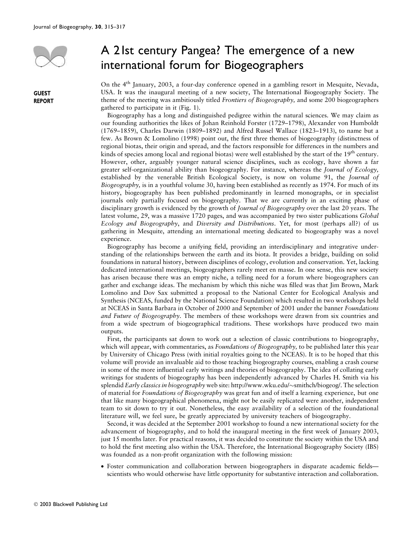

GUEST REPORT

## A 21st century Pangea? The emergence of a new international forum for Biogeographers

On the 4th January, 2003, a four-day conference opened in a gambling resort in Mesquite, Nevada, USA. It was the inaugural meeting of a new society, The International Biogeography Society. The theme of the meeting was ambitiously titled Frontiers of Biogeography, and some 200 biogeographers gathered to participate in it (Fig. 1).

Biogeography has a long and distinguished pedigree within the natural sciences. We may claim as our founding authorities the likes of Johan Reinhold Forster (1729–1798), Alexander von Humboldt (1769–1859), Charles Darwin (1809–1892) and Alfred Russel Wallace (1823–1913), to name but a few. As Brown & Lomolino (1998) point out, the first three themes of biogeography (distinctness of regional biotas, their origin and spread, and the factors responsible for differences in the numbers and kinds of species among local and regional biotas) were well established by the start of the 19<sup>th</sup> century. However, other, arguably younger natural science disciplines, such as ecology, have shown a far greater self-organizational ability than biogeography. For instance, whereas the Journal of Ecology, established by the venerable British Ecological Society, is now on volume 91, the Journal of Biogeography, is in a youthful volume 30, having been established as recently as 1974. For much of its history, biogeography has been published predominantly in learned monographs, or in specialist journals only partially focused on biogeography. That we are currently in an exciting phase of disciplinary growth is evidenced by the growth of *Journal of Biogeography* over the last 20 years. The latest volume, 29, was a massive 1720 pages, and was accompanied by two sister publications Global Ecology and Biogeography, and Diversity and Distributions. Yet, for most (perhaps all?) of us gathering in Mesquite, attending an international meeting dedicated to biogeography was a novel experience.

Biogeography has become a unifying field, providing an interdisciplinary and integrative understanding of the relationships between the earth and its biota. It provides a bridge, building on solid foundations in natural history, between disciplines of ecology, evolution and conservation. Yet, lacking dedicated international meetings, biogeographers rarely meet en masse. In one sense, this new society has arisen because there was an empty niche, a telling need for a forum where biogeographers can gather and exchange ideas. The mechanism by which this niche was filled was that Jim Brown, Mark Lomolino and Dov Sax submitted a proposal to the National Center for Ecological Analysis and Synthesis (NCEAS, funded by the National Science Foundation) which resulted in two workshops held at NCEAS in Santa Barbara in October of 2000 and September of 2001 under the banner Foundations and Future of Biogeography. The members of these workshops were drawn from six countries and from a wide spectrum of biogeographical traditions. These workshops have produced two main outputs.

First, the participants sat down to work out a selection of classic contributions to biogeography, which will appear, with commentaries, as Foundations of Biogeography, to be published later this year by University of Chicago Press (with initial royalties going to the NCEAS). It is to be hoped that this volume will provide an invaluable aid to those teaching biogeography courses, enabling a crash course in some of the more influential early writings and theories of biogeography. The idea of collating early writings for students of biogeography has been independently advanced by Charles H. Smith via his splendid Early classics in biogeography web site: http://www.wku.edu/ $\sim$ smithch/biogeog/. The selection of material for Foundations of Biogeography was great fun and of itself a learning experience, but one that like many biogeographical phenomena, might not be easily replicated were another, independent team to sit down to try it out. Nonetheless, the easy availability of a selection of the foundational literature will, we feel sure, be greatly appreciated by university teachers of biogeography.

Second, it was decided at the September 2001 workshop to found a new international society for the advancement of biogeography, and to hold the inaugural meeting in the first week of January 2003, just 15 months later. For practical reasons, it was decided to constitute the society within the USA and to hold the first meeting also within the USA. Therefore, the International Biogeography Society (IBS) was founded as a non-profit organization with the following mission:

• Foster communication and collaboration between biogeographers in disparate academic fields scientists who would otherwise have little opportunity for substantive interaction and collaboration.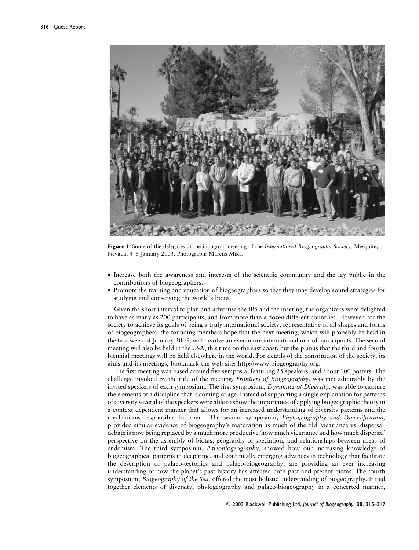

Figure 1 Some of the delegates at the inaugural meeting of the International Biogeography Society, Mesquite, Nevada, 4–8 January 2003. Photograph: Marcus Mika.

- Increase both the awareness and interests of the scientific community and the lay public in the contributions of biogeographers.
- Promote the training and education of biogeographers so that they may develop sound strategies for studying and conserving the world's biota.

Given the short interval to plan and advertise the IBS and the meeting, the organizers were delighted to have as many as 200 participants, and from more than a dozen different countries. However, for the society to achieve its goals of being a truly international society, representative of all shapes and forms of biogeographers, the founding members hope that the next meeting, which will probably be held in the first week of January 2005, will involve an even more international mix of participants. The second meeting will also be held in the USA, this time on the east coast, but the plan is that the third and fourth biennial meetings will be held elsewhere in the world. For details of the constitution of the society, its aims and its meetings, bookmark the web site: http://www.biogeography.org.

The first meeting was based around five symposia, featuring 25 speakers, and about 100 posters. The challenge invoked by the title of the meeting, Frontiers of Biogeography, was met admirably by the invited speakers of each symposium. The first symposium, Dynamics of Diversity, was able to capture the elements of a discipline that is coming of age. Instead of supporting a single explanation for patterns of diversity several of the speakers were able to show the importance of applying biogeographic theory in a context dependent manner that allows for an increased understanding of diversity patterns and the mechanisms responsible for them. The second symposium, *Phylogeography and Diversification*, provided similar evidence of biogeography's maturation as much of the old vicariance vs. dispersal debate is now being replaced by a much more productive 'how much vicariance and how much dispersal' perspective on the assembly of biotas, geography of speciation, and relationships between areas of endemism. The third symposium, Paleobiogeography, showed how our increasing knowledge of biogeographical patterns in deep time, and continually emerging advances in technology that facilitate the description of palaeo-tectonics and palaeo-biogeography, are providing an ever increasing understanding of how the planet's past history has affected both past and present biotas. The fourth symposium, Biogeography of the Sea, offered the most holistic understanding of biogeography. It tied together elements of diversity, phylogeography and palaeo-biogeography in a concerted manner,